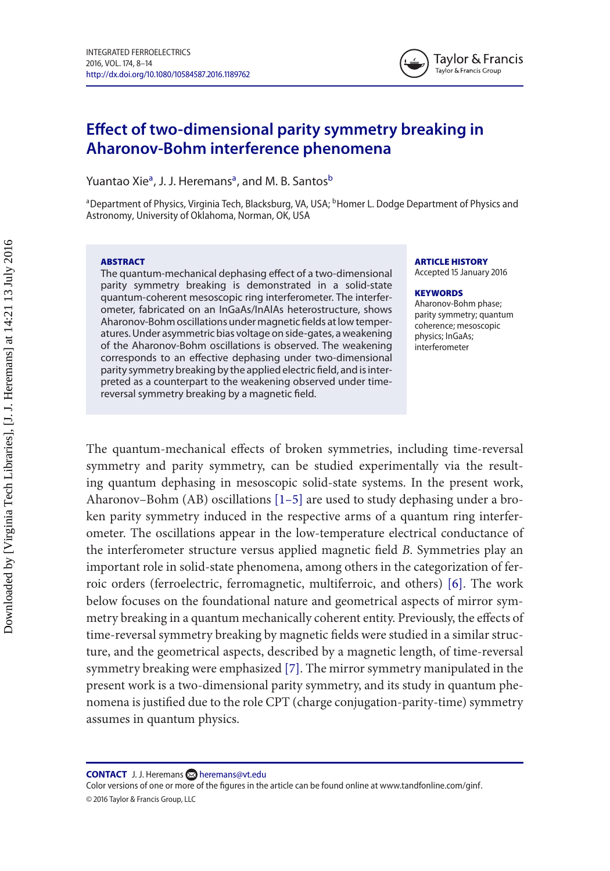

# **Effect of two-dimensional parity symmetry breaking in Aharonov-Bohm interference phenomena**

Yuantao Xie<sup>a</sup>, J. J. Heremans<sup>a</sup>, and M. B. Santos<sup>b</sup>

<span id="page-0-0"></span><sup>a</sup>Department of Physics, Virginia Tech, Blacksburg, VA, USA; <sup>b</sup>Homer L. Dodge Department of Physics and Astronomy, University of Oklahoma, Norman, OK, USA

### **ABSTRACT**

The quantum-mechanical dephasing effect of a two-dimensional parity symmetry breaking is demonstrated in a solid-state quantum-coherent mesoscopic ring interferometer. The interferometer, fabricated on an InGaAs/InAlAs heterostructure, shows Aharonov-Bohm oscillations under magnetic fields at low temperatures. Under asymmetric bias voltage on side-gates, a weakening of the Aharonov-Bohm oscillations is observed. The weakening corresponds to an effective dephasing under two-dimensional parity symmetry breaking by the applied electric field, and is interpreted as a counterpart to the weakening observed under timereversal symmetry breaking by a magnetic field.

## <span id="page-0-1"></span>**ARTICLE HISTORY**

Accepted 15 January 2016

#### **KEYWORDS**

Aharonov-Bohm phase; parity symmetry; quantum coherence; mesoscopic physics; InGaAs; interferometer

The quantum-mechanical effects of broken symmetries, including time-reversal symmetry and parity symmetry, can be studied experimentally via the resulting quantum dephasing in mesoscopic solid-state systems. In the present work, Aharonov–Bohm (AB) oscillations [\[1–5\]](#page-5-0) are used to study dephasing under a broken parity symmetry induced in the respective arms of a quantum ring interferometer. The oscillations appear in the low-temperature electrical conductance of the interferometer structure versus applied magnetic field *B*. Symmetries play an important role in solid-state phenomena, among others in the categorization of ferroic orders (ferroelectric, ferromagnetic, multiferroic, and others) [\[6\].](#page-6-0) The work below focuses on the foundational nature and geometrical aspects of mirror symmetry breaking in a quantum mechanically coherent entity. Previously, the effects of time-reversal symmetry breaking by magnetic fields were studied in a similar structure, and the geometrical aspects, described by a magnetic length, of time-reversal symmetry breaking were emphasized [\[7\].](#page-6-1) The mirror symmetry manipulated in the present work is a two-dimensional parity symmetry, and its study in quantum phenomena is justified due to the role CPT (charge conjugation-parity-time) symmetry assumes in quantum physics.

**CONTACT** J. J. Heremans a [heremans@vt.edu](mailto:heremans@vt.edu)

Color versions of one or more of the figures in the article can be found online at www.tandfonline.com/ginf. © 2016 Taylor & Francis Group, LLC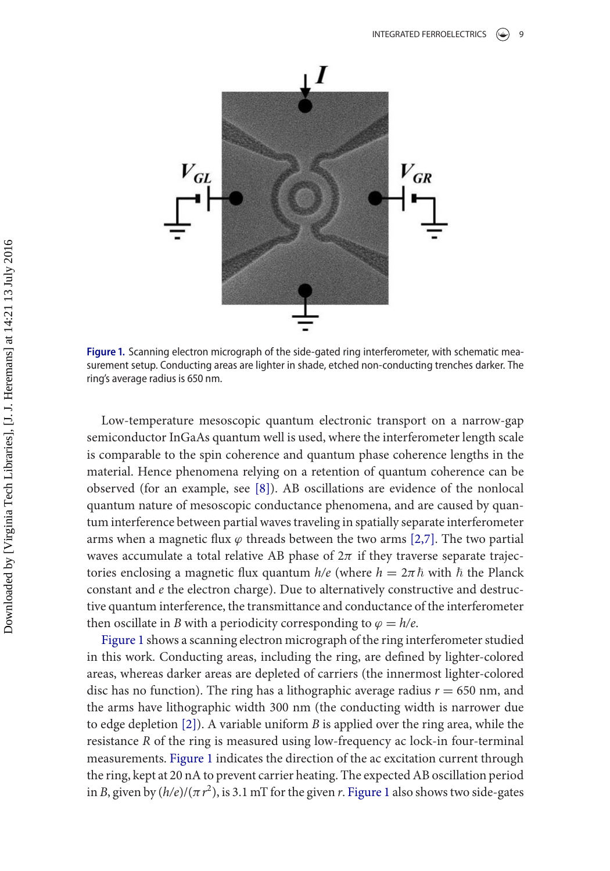<span id="page-1-0"></span>

Figure 1. Scanning electron micrograph of the side-gated ring interferometer, with schematic measurement setup. Conducting areas are lighter in shade, etched non-conducting trenches darker. The ring's average radius is 650 nm.

Low-temperature mesoscopic quantum electronic transport on a narrow-gap semiconductor InGaAs quantum well is used, where the interferometer length scale is comparable to the spin coherence and quantum phase coherence lengths in the material. Hence phenomena relying on a retention of quantum coherence can be observed (for an example, see [\[8\]\)](#page-6-2). AB oscillations are evidence of the nonlocal quantum nature of mesoscopic conductance phenomena, and are caused by quantum interference between partial waves traveling in spatially separate interferometer arms when a magnetic flux  $\varphi$  threads between the two arms [\[2,7\].](#page-5-1) The two partial waves accumulate a total relative AB phase of  $2\pi$  if they traverse separate trajectories enclosing a magnetic flux quantum  $h/e$  (where  $h = 2\pi \hbar$  with  $\hbar$  the Planck constant and *e* the electron charge). Due to alternatively constructive and destructive quantum interference, the transmittance and conductance of the interferometer then oscillate in *B* with a periodicity corresponding to  $\varphi = h/e$ .

[Figure 1](#page-1-0) shows a scanning electron micrograph of the ring interferometer studied in this work. Conducting areas, including the ring, are defined by lighter-colored areas, whereas darker areas are depleted of carriers (the innermost lighter-colored disc has no function). The ring has a lithographic average radius  $r = 650$  nm, and the arms have lithographic width 300 nm (the conducting width is narrower due to edge depletion [\[2\]\)](#page-5-1). A variable uniform *B* is applied over the ring area, while the resistance *R* of the ring is measured using low-frequency ac lock-in four-terminal measurements. [Figure 1](#page-1-0) indicates the direction of the ac excitation current through the ring, kept at 20 nA to prevent carrier heating. The expected AB oscillation period in *B*, given by  $(h/e)/(\pi r^2)$ , is 3.1 mT for the given *r*. [Figure 1](#page-1-0) also shows two side-gates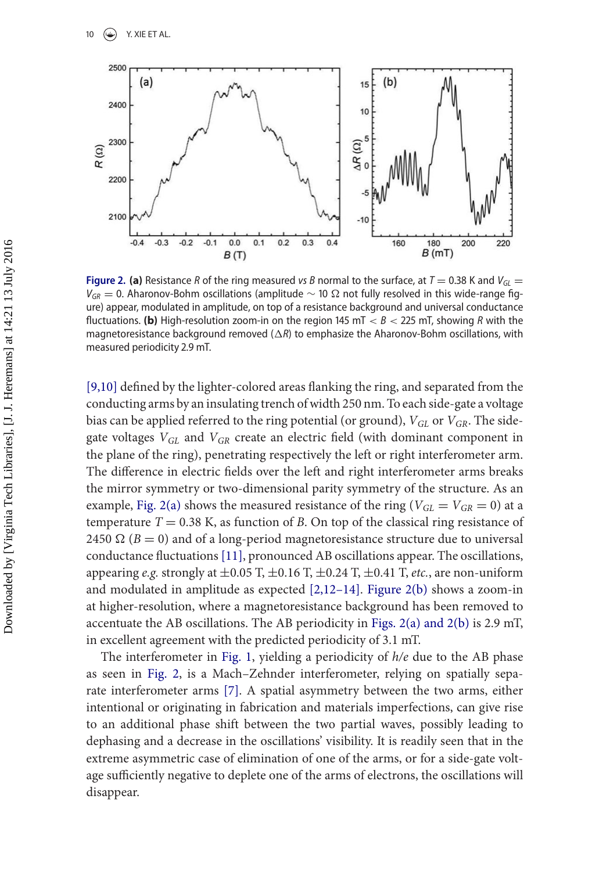<span id="page-2-0"></span>

**Figure 2. (a)** Resistance *R* of the ring measured *vs B* normal to the surface, at  $T = 0.38$  K and  $V_{GL} =$  $V_{GR} = 0$ . Aharonov-Bohm oscillations (amplitude  $\sim 10 \Omega$  not fully resolved in this wide-range figure) appear, modulated in amplitude, on top of a resistance background and universal conductance fluctuations. **(b)** High-resolution zoom-in on the region 145 mT  $\lt B \lt 225$  mT, showing R with the magnetoresistance background removed  $(\Delta R)$  to emphasize the Aharonov-Bohm oscillations, with measured periodicity 2.9 mT.

[\[9,10\]](#page-6-3) defined by the lighter-colored areas flanking the ring, and separated from the conducting arms by an insulating trench of width 250 nm. To each side-gate a voltage bias can be applied referred to the ring potential (or ground), *VGL* or *VGR*. The sidegate voltages *VGL* and *VGR* create an electric field (with dominant component in the plane of the ring), penetrating respectively the left or right interferometer arm. The difference in electric fields over the left and right interferometer arms breaks the mirror symmetry or two-dimensional parity symmetry of the structure. As an example, [Fig. 2\(a\)](#page-2-0) shows the measured resistance of the ring ( $V_{GL} = V_{GR} = 0$ ) at a temperature  $T = 0.38$  K, as function of *B*. On top of the classical ring resistance of 2450  $\Omega$  ( $B = 0$ ) and of a long-period magnetoresistance structure due to universal conductance fluctuations [\[11\],](#page-6-4) pronounced AB oscillations appear. The oscillations, appearing *e.g.* strongly at  $\pm 0.05$  T,  $\pm 0.16$  T,  $\pm 0.24$  T,  $\pm 0.41$  T, *etc.*, are non-uniform and modulated in amplitude as expected [\[2,12–14\].](#page-5-1) [Figure 2\(b\)](#page-2-0) shows a zoom-in at higher-resolution, where a magnetoresistance background has been removed to accentuate the AB oscillations. The AB periodicity in [Figs. 2\(a\) and 2\(b\)](#page-2-0) is 2.9 mT, in excellent agreement with the predicted periodicity of 3.1 mT.

The interferometer in [Fig. 1,](#page-1-0) yielding a periodicity of *h/e* due to the AB phase as seen in [Fig. 2,](#page-2-0) is a Mach–Zehnder interferometer, relying on spatially separate interferometer arms [\[7\].](#page-6-1) A spatial asymmetry between the two arms, either intentional or originating in fabrication and materials imperfections, can give rise to an additional phase shift between the two partial waves, possibly leading to dephasing and a decrease in the oscillations' visibility. It is readily seen that in the extreme asymmetric case of elimination of one of the arms, or for a side-gate voltage sufficiently negative to deplete one of the arms of electrons, the oscillations will disappear.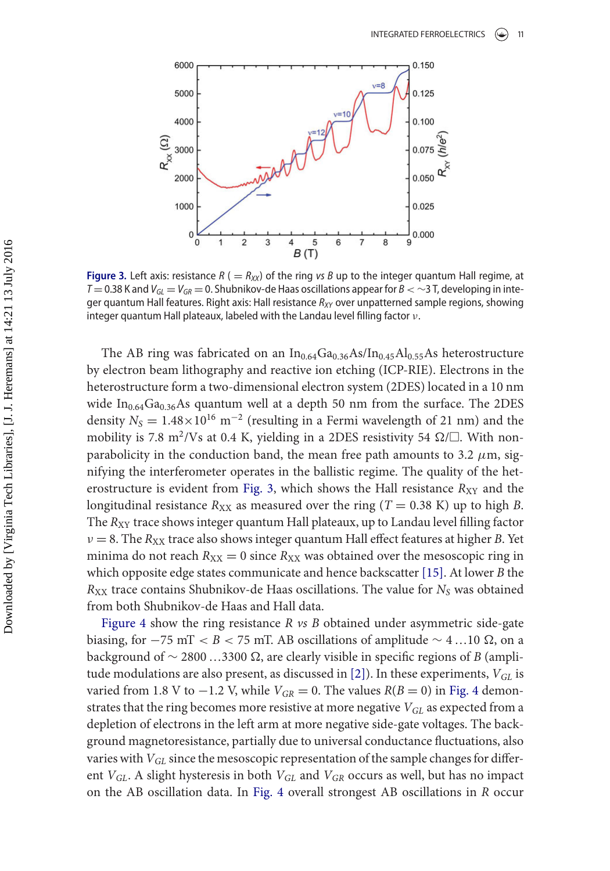<span id="page-3-0"></span>

**Figure 3.** Left axis: resistance  $R$  ( =  $R_{XX}$ ) of the ring *vs B* up to the integer quantum Hall regime, at  $T = 0.38$  K and  $V_{Gl} = V_{GR} = 0$ . Shubnikov-de Haas oscillations appear for  $B < \sim 3$  T, developing in integer quantum Hall features. Right axis: Hall resistance R<sub>XY</sub> over unpatterned sample regions, showing integer quantum Hall plateaux, labeled with the Landau level filling factor ν.

The AB ring was fabricated on an  $In<sub>0.64</sub>Ga<sub>0.36</sub>As/In<sub>0.45</sub>Al<sub>0.55</sub>As heterostructure$ by electron beam lithography and reactive ion etching (ICP-RIE). Electrons in the heterostructure form a two-dimensional electron system (2DES) located in a 10 nm wide  $In<sub>0.64</sub>Ga<sub>0.36</sub>As quantum well at a depth 50 nm from the surface. The 2DES$ density  $N_S = 1.48 \times 10^{16}$  m<sup>-2</sup> (resulting in a Fermi wavelength of 21 nm) and the mobility is 7.8 m<sup>2</sup>/Vs at 0.4 K, yielding in a 2DES resistivity 54  $\Omega/\square$ . With nonparabolicity in the conduction band, the mean free path amounts to 3.2  $\mu$ m, signifying the interferometer operates in the ballistic regime. The quality of the het-erostructure is evident from [Fig. 3,](#page-3-0) which shows the Hall resistance  $R_{XY}$  and the longitudinal resistance  $R_{XX}$  as measured over the ring ( $T = 0.38$  K) up to high *B*. The *R*<sub>XY</sub> trace shows integer quantum Hall plateaux, up to Landau level filling factor  $v = 8$ . The  $R_{XX}$  trace also shows integer quantum Hall effect features at higher *B*. Yet minima do not reach  $R_{XX} = 0$  since  $R_{XX}$  was obtained over the mesoscopic ring in which opposite edge states communicate and hence backscatter [\[15\].](#page-6-5) At lower *B* the  $R_{XX}$  trace contains Shubnikov-de Haas oscillations. The value for  $N_S$  was obtained from both Shubnikov-de Haas and Hall data.

[Figure 4](#page-4-0) show the ring resistance *R vs B* obtained under asymmetric side-gate biasing, for  $-75$  mT < *B* < 75 mT. AB oscillations of amplitude  $\sim$  4 …10 Ω, on a background of ~ 2800 ...3300 Ω, are clearly visible in specific regions of *B* (amplitude modulations are also present, as discussed in [\[2\]\)](#page-5-1). In these experiments, *VGL* is varied from 1.8 V to −1.2 V, while  $V_{GR} = 0$ . The values  $R(B = 0)$  in [Fig. 4](#page-4-0) demonstrates that the ring becomes more resistive at more negative *VGL* as expected from a depletion of electrons in the left arm at more negative side-gate voltages. The background magnetoresistance, partially due to universal conductance fluctuations, also varies with*VGL* since the mesoscopic representation of the sample changes for different *VGL*. A slight hysteresis in both *VGL* and *VGR* occurs as well, but has no impact on the AB oscillation data. In [Fig. 4](#page-4-0) overall strongest AB oscillations in *R* occur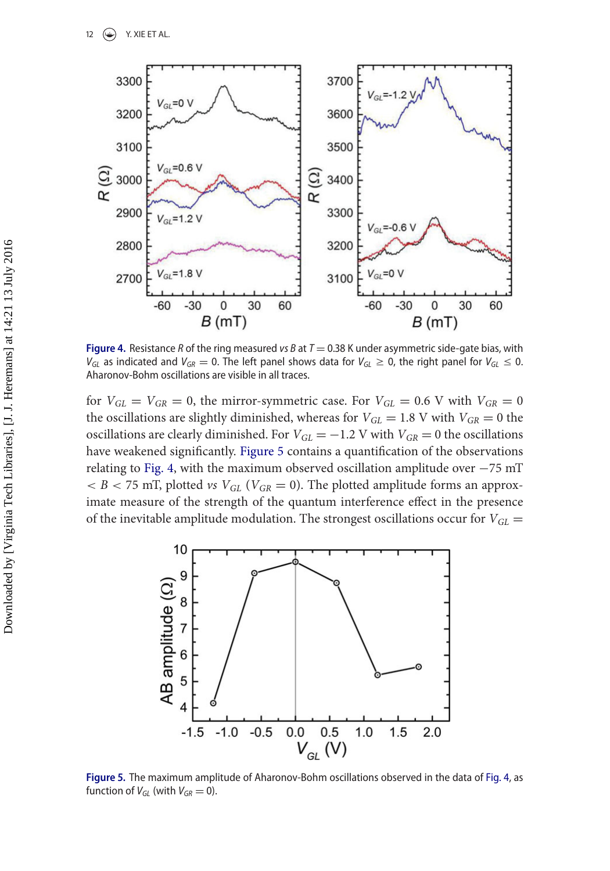<span id="page-4-0"></span>

**Figure 4.** Resistance *R* of the ring measured *vs B* at  $T = 0.38$  K under asymmetric side-gate bias, with  $V_{GL}$  as indicated and  $V_{GR} = 0$ . The left panel shows data for  $V_{GL} \ge 0$ , the right panel for  $V_{GL} \le 0$ . Aharonov-Bohm oscillations are visible in all traces.

for  $V_{GL} = V_{GR} = 0$ , the mirror-symmetric case. For  $V_{GL} = 0.6$  V with  $V_{GR} = 0$ the oscillations are slightly diminished, whereas for  $V_{GL} = 1.8$  V with  $V_{GR} = 0$  the oscillations are clearly diminished. For  $V_{GL} = -1.2$  V with  $V_{GR} = 0$  the oscillations have weakened significantly. [Figure 5](#page-4-1) contains a quantification of the observations relating to [Fig. 4,](#page-4-0) with the maximum observed oscillation amplitude over −75 mT  $B < 75$  mT, plotted *vs*  $V_{GL}$  ( $V_{GR} = 0$ ). The plotted amplitude forms an approximate measure of the strength of the quantum interference effect in the presence of the inevitable amplitude modulation. The strongest oscillations occur for *VGL* =

<span id="page-4-1"></span>

Figure 5. The maximum amplitude of Aharonov-Bohm oscillations observed in the data of Fig. 4, as function of  $V_{GL}$  (with  $V_{GR} = 0$ ).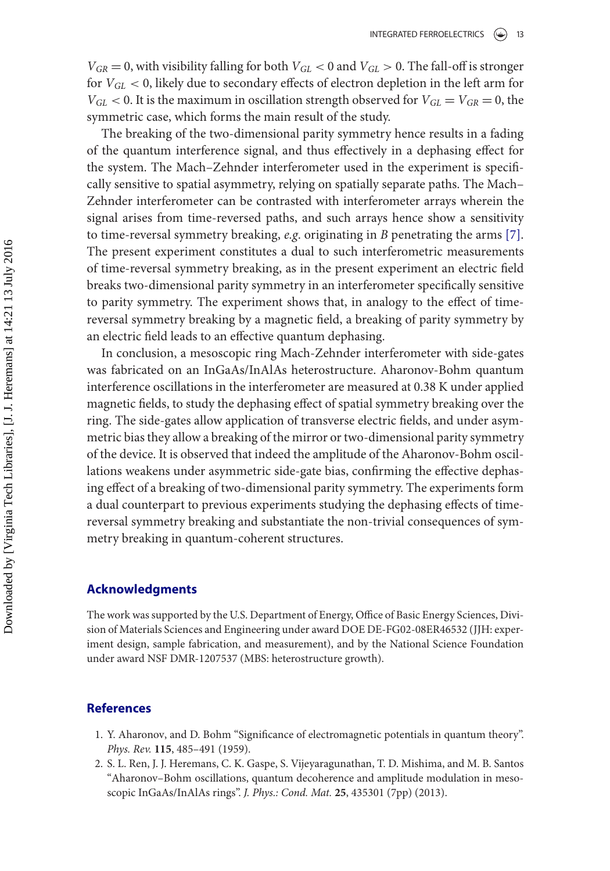$V_{GR} = 0$ , with visibility falling for both  $V_{GL} < 0$  and  $V_{GL} > 0$ . The fall-off is stronger for *VGL* < 0, likely due to secondary effects of electron depletion in the left arm for  $V_{GL}$  < 0. It is the maximum in oscillation strength observed for  $V_{GL} = V_{GR} = 0$ , the symmetric case, which forms the main result of the study.

The breaking of the two-dimensional parity symmetry hence results in a fading of the quantum interference signal, and thus effectively in a dephasing effect for the system. The Mach–Zehnder interferometer used in the experiment is specifically sensitive to spatial asymmetry, relying on spatially separate paths. The Mach– Zehnder interferometer can be contrasted with interferometer arrays wherein the signal arises from time-reversed paths, and such arrays hence show a sensitivity to time-reversal symmetry breaking, *e.g*. originating in *B* penetrating the arms [\[7\].](#page-6-1) The present experiment constitutes a dual to such interferometric measurements of time-reversal symmetry breaking, as in the present experiment an electric field breaks two-dimensional parity symmetry in an interferometer specifically sensitive to parity symmetry. The experiment shows that, in analogy to the effect of timereversal symmetry breaking by a magnetic field, a breaking of parity symmetry by an electric field leads to an effective quantum dephasing.

In conclusion, a mesoscopic ring Mach-Zehnder interferometer with side-gates was fabricated on an InGaAs/InAlAs heterostructure. Aharonov-Bohm quantum interference oscillations in the interferometer are measured at 0.38 K under applied magnetic fields, to study the dephasing effect of spatial symmetry breaking over the ring. The side-gates allow application of transverse electric fields, and under asymmetric bias they allow a breaking of the mirror or two-dimensional parity symmetry of the device. It is observed that indeed the amplitude of the Aharonov-Bohm oscillations weakens under asymmetric side-gate bias, confirming the effective dephasing effect of a breaking of two-dimensional parity symmetry. The experiments form a dual counterpart to previous experiments studying the dephasing effects of timereversal symmetry breaking and substantiate the non-trivial consequences of symmetry breaking in quantum-coherent structures.

# **Acknowledgments**

The work was supported by the U.S. Department of Energy, Office of Basic Energy Sciences, Division of Materials Sciences and Engineering under award DOE DE-FG02-08ER46532 (JJH: experiment design, sample fabrication, and measurement), and by the National Science Foundation under award NSF DMR-1207537 (MBS: heterostructure growth).

# **References**

- <span id="page-5-0"></span>1. Y. Aharonov, and D. Bohm "Significance of electromagnetic potentials in quantum theory". *Phys. Rev.* **115**, 485–491 (1959).
- <span id="page-5-1"></span>2. S. L. Ren, J. J. Heremans, C. K. Gaspe, S. Vijeyaragunathan, T. D. Mishima, and M. B. Santos "Aharonov–Bohm oscillations, quantum decoherence and amplitude modulation in mesoscopic InGaAs/InAlAs rings". *J. Phys.: Cond. Mat.* **25**, 435301 (7pp) (2013).